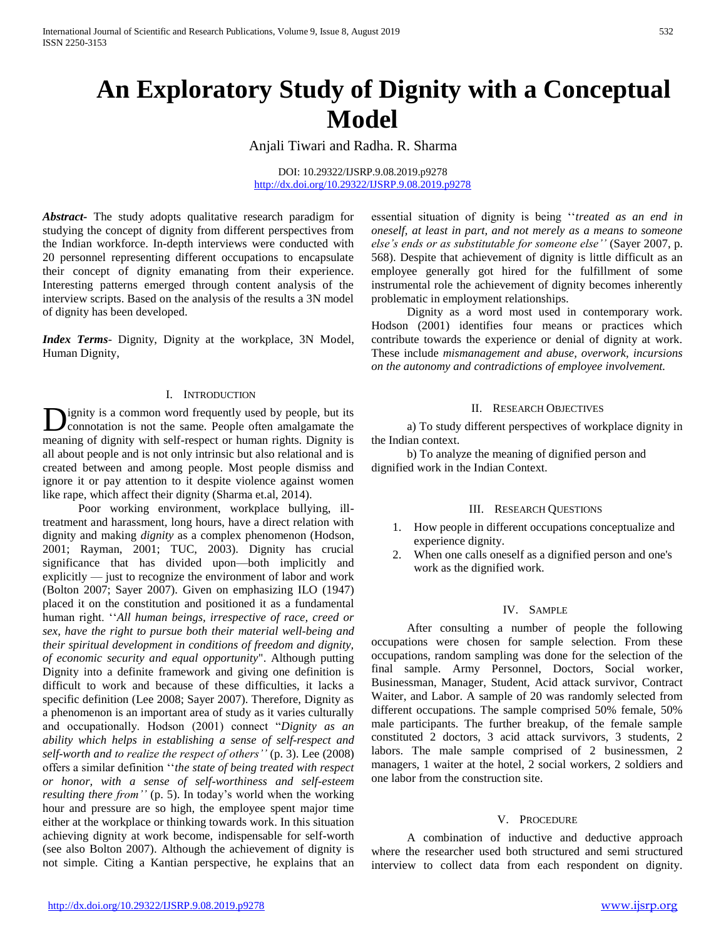# **An Exploratory Study of Dignity with a Conceptual Model**

Anjali Tiwari and Radha. R. Sharma

DOI: 10.29322/IJSRP.9.08.2019.p9278 <http://dx.doi.org/10.29322/IJSRP.9.08.2019.p9278>

*Abstract***-** The study adopts qualitative research paradigm for studying the concept of dignity from different perspectives from the Indian workforce. In-depth interviews were conducted with 20 personnel representing different occupations to encapsulate their concept of dignity emanating from their experience. Interesting patterns emerged through content analysis of the interview scripts. Based on the analysis of the results a 3N model of dignity has been developed.

*Index Terms*- Dignity, Dignity at the workplace, 3N Model, Human Dignity,

### I. INTRODUCTION

ignity is a common word frequently used by people, but its **D**ignity is a common word frequently used by people, but its connotation is not the same. People often amalgamate the meaning of dignity with self-respect or human rights. Dignity is all about people and is not only intrinsic but also relational and is created between and among people. Most people dismiss and ignore it or pay attention to it despite violence against women like rape, which affect their dignity (Sharma et.al, 2014).

 Poor working environment, workplace bullying, illtreatment and harassment, long hours, have a direct relation with dignity and making *dignity* as a complex phenomenon (Hodson, 2001; Rayman, 2001; TUC, 2003). Dignity has crucial significance that has divided upon—both implicitly and explicitly — just to recognize the environment of labor and work (Bolton 2007; Sayer 2007). Given on emphasizing ILO (1947) placed it on the constitution and positioned it as a fundamental human right. ''*All human beings, irrespective of race, creed or sex, have the right to pursue both their material well-being and their spiritual development in conditions of freedom and dignity, of economic security and equal opportunity*". Although putting Dignity into a definite framework and giving one definition is difficult to work and because of these difficulties, it lacks a specific definition (Lee 2008; Sayer 2007). Therefore, Dignity as a phenomenon is an important area of study as it varies culturally and occupationally. Hodson (2001) connect "*Dignity as an ability which helps in establishing a sense of self-respect and self-worth and to realize the respect of others''* (p. 3). Lee (2008) offers a similar definition ''*the state of being treated with respect or honor, with a sense of self-worthiness and self-esteem resulting there from''* (p. 5). In today's world when the working hour and pressure are so high, the employee spent major time either at the workplace or thinking towards work. In this situation achieving dignity at work become, indispensable for self-worth (see also Bolton 2007). Although the achievement of dignity is not simple. Citing a Kantian perspective, he explains that an essential situation of dignity is being ''*treated as an end in oneself, at least in part, and not merely as a means to someone else's ends or as substitutable for someone else''* (Sayer 2007, p. 568). Despite that achievement of dignity is little difficult as an employee generally got hired for the fulfillment of some instrumental role the achievement of dignity becomes inherently problematic in employment relationships.

 Dignity as a word most used in contemporary work. Hodson (2001) identifies four means or practices which contribute towards the experience or denial of dignity at work. These include *mismanagement and abuse, overwork, incursions on the autonomy and contradictions of employee involvement.* 

#### II. RESEARCH OBJECTIVES

 a) To study different perspectives of workplace dignity in the Indian context.

 b) To analyze the meaning of dignified person and dignified work in the Indian Context.

#### III. RESEARCH QUESTIONS

- 1. How people in different occupations conceptualize and experience dignity.
- 2. When one calls oneself as a dignified person and one's work as the dignified work.

#### IV. SAMPLE

 After consulting a number of people the following occupations were chosen for sample selection. From these occupations, random sampling was done for the selection of the final sample. Army Personnel, Doctors, Social worker, Businessman, Manager, Student, Acid attack survivor, Contract Waiter, and Labor. A sample of 20 was randomly selected from different occupations. The sample comprised 50% female, 50% male participants. The further breakup, of the female sample constituted 2 doctors, 3 acid attack survivors, 3 students, 2 labors. The male sample comprised of 2 businessmen, 2 managers, 1 waiter at the hotel, 2 social workers, 2 soldiers and one labor from the construction site.

### V. PROCEDURE

 A combination of inductive and deductive approach where the researcher used both structured and semi structured interview to collect data from each respondent on dignity.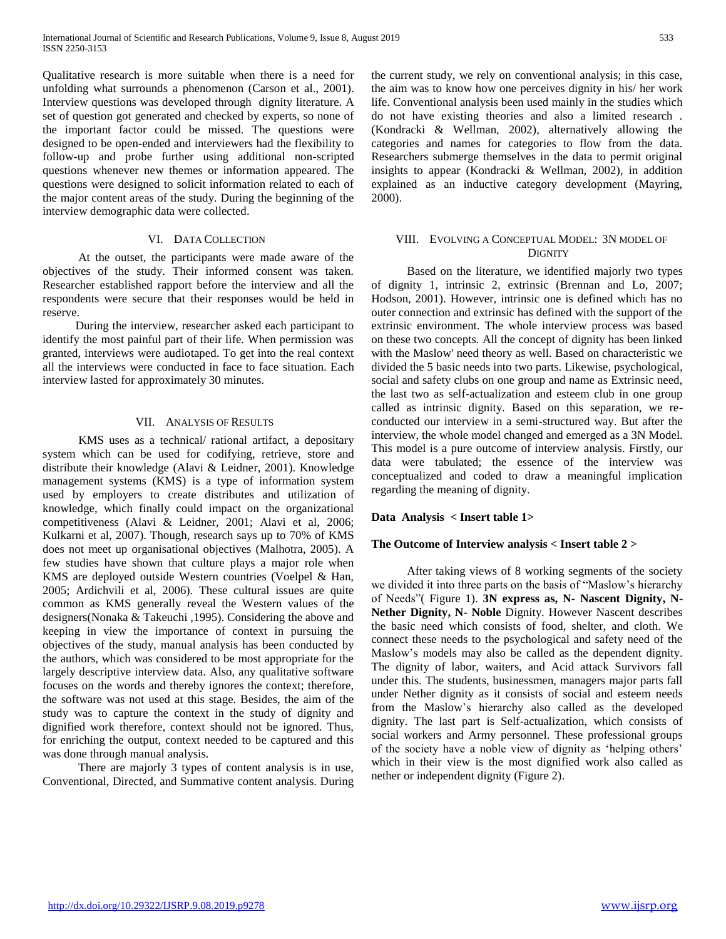Qualitative research is more suitable when there is a need for unfolding what surrounds a phenomenon (Carson et al., 2001). Interview questions was developed through dignity literature. A set of question got generated and checked by experts, so none of the important factor could be missed. The questions were designed to be open-ended and interviewers had the flexibility to follow-up and probe further using additional non-scripted questions whenever new themes or information appeared. The questions were designed to solicit information related to each of the major content areas of the study. During the beginning of the interview demographic data were collected.

#### VI. DATA COLLECTION

 At the outset, the participants were made aware of the objectives of the study. Their informed consent was taken. Researcher established rapport before the interview and all the respondents were secure that their responses would be held in reserve.

 During the interview, researcher asked each participant to identify the most painful part of their life. When permission was granted, interviews were audiotaped. To get into the real context all the interviews were conducted in face to face situation. Each interview lasted for approximately 30 minutes.

## VII. ANALYSIS OF RESULTS

 KMS uses as a technical/ rational artifact, a depositary system which can be used for codifying, retrieve, store and distribute their knowledge (Alavi & Leidner, 2001). Knowledge management systems (KMS) is a type of information system used by employers to create distributes and utilization of knowledge, which finally could impact on the organizational competitiveness (Alavi & Leidner, 2001; Alavi et al, 2006; Kulkarni et al, 2007). Though, research says up to 70% of KMS does not meet up organisational objectives (Malhotra, 2005). A few studies have shown that culture plays a major role when KMS are deployed outside Western countries (Voelpel & Han, 2005; Ardichvili et al, 2006). These cultural issues are quite common as KMS generally reveal the Western values of the designers(Nonaka & Takeuchi ,1995). Considering the above and keeping in view the importance of context in pursuing the objectives of the study, manual analysis has been conducted by the authors, which was considered to be most appropriate for the largely descriptive interview data. Also, any qualitative software focuses on the words and thereby ignores the context; therefore, the software was not used at this stage. Besides, the aim of the study was to capture the context in the study of dignity and dignified work therefore, context should not be ignored. Thus, for enriching the output, context needed to be captured and this was done through manual analysis.

 There are majorly 3 types of content analysis is in use, Conventional, Directed, and Summative content analysis. During the current study, we rely on conventional analysis; in this case, the aim was to know how one perceives dignity in his/ her work life. Conventional analysis been used mainly in the studies which do not have existing theories and also a limited research . (Kondracki & Wellman, 2002), alternatively allowing the categories and names for categories to flow from the data. Researchers submerge themselves in the data to permit original insights to appear (Kondracki & Wellman, 2002), in addition explained as an inductive category development (Mayring, 2000).

## VIII. EVOLVING A CONCEPTUAL MODEL: 3N MODEL OF **DIGNITY**

 Based on the literature, we identified majorly two types of dignity 1, intrinsic 2, extrinsic (Brennan and Lo, 2007; Hodson, 2001). However, intrinsic one is defined which has no outer connection and extrinsic has defined with the support of the extrinsic environment. The whole interview process was based on these two concepts. All the concept of dignity has been linked with the Maslow' need theory as well. Based on characteristic we divided the 5 basic needs into two parts. Likewise, psychological, social and safety clubs on one group and name as Extrinsic need, the last two as self-actualization and esteem club in one group called as intrinsic dignity. Based on this separation, we reconducted our interview in a semi-structured way. But after the interview, the whole model changed and emerged as a 3N Model. This model is a pure outcome of interview analysis. Firstly, our data were tabulated; the essence of the interview was conceptualized and coded to draw a meaningful implication regarding the meaning of dignity.

#### **Data Analysis < Insert table 1>**

## **The Outcome of Interview analysis < Insert table 2 >**

 After taking views of 8 working segments of the society we divided it into three parts on the basis of "Maslow's hierarchy of Needs"( Figure 1). **3N express as, N- Nascent Dignity, N-Nether Dignity, N- Noble** Dignity. However Nascent describes the basic need which consists of food, shelter, and cloth. We connect these needs to the psychological and safety need of the Maslow's models may also be called as the dependent dignity. The dignity of labor, waiters, and Acid attack Survivors fall under this. The students, businessmen, managers major parts fall under Nether dignity as it consists of social and esteem needs from the Maslow's hierarchy also called as the developed dignity. The last part is Self-actualization, which consists of social workers and Army personnel. These professional groups of the society have a noble view of dignity as 'helping others' which in their view is the most dignified work also called as nether or independent dignity (Figure 2).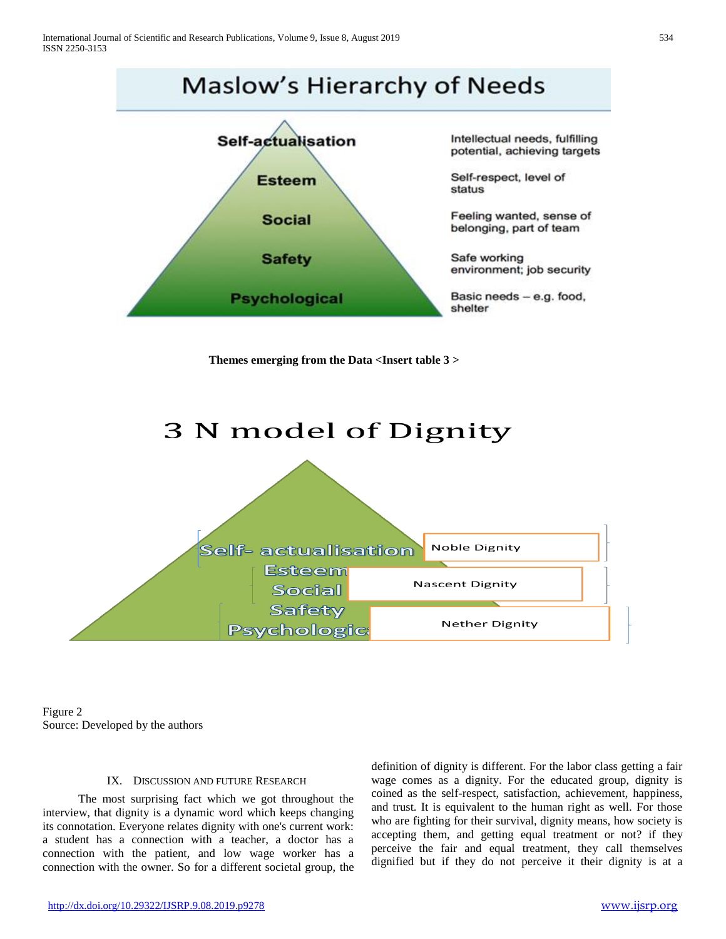

**Themes emerging from the Data <Insert table 3 >**



Figure 2 Source: Developed by the authors

#### IX. DISCUSSION AND FUTURE RESEARCH

 The most surprising fact which we got throughout the interview, that dignity is a dynamic word which keeps changing its connotation. Everyone relates dignity with one's current work: a student has a connection with a teacher, a doctor has a connection with the patient, and low wage worker has a connection with the owner. So for a different societal group, the

definition of dignity is different. For the labor class getting a fair wage comes as a dignity. For the educated group, dignity is coined as the self-respect, satisfaction, achievement, happiness, and trust. It is equivalent to the human right as well. For those who are fighting for their survival, dignity means, how society is accepting them, and getting equal treatment or not? if they perceive the fair and equal treatment, they call themselves dignified but if they do not perceive it their dignity is at a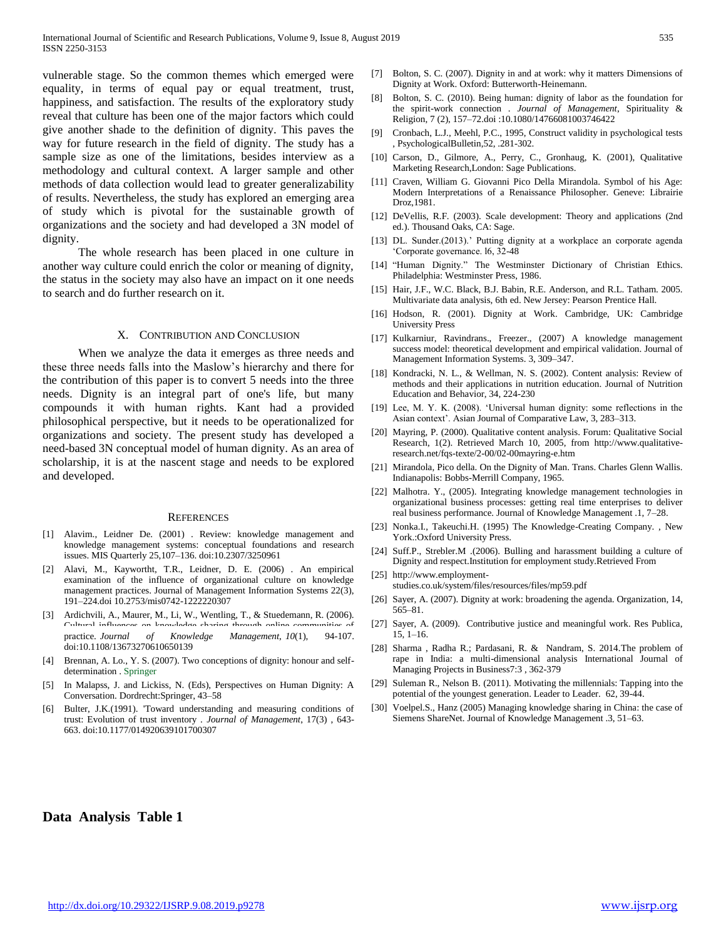vulnerable stage. So the common themes which emerged were equality, in terms of equal pay or equal treatment, trust, happiness, and satisfaction. The results of the exploratory study reveal that culture has been one of the major factors which could give another shade to the definition of dignity. This paves the way for future research in the field of dignity. The study has a sample size as one of the limitations, besides interview as a methodology and cultural context. A larger sample and other methods of data collection would lead to greater generalizability of results. Nevertheless, the study has explored an emerging area of study which is pivotal for the sustainable growth of organizations and the society and had developed a 3N model of dignity.

 The whole research has been placed in one culture in another way culture could enrich the color or meaning of dignity, the status in the society may also have an impact on it one needs to search and do further research on it.

#### X. CONTRIBUTION AND CONCLUSION

 When we analyze the data it emerges as three needs and these three needs falls into the Maslow's hierarchy and there for the contribution of this paper is to convert 5 needs into the three needs. Dignity is an integral part of one's life, but many compounds it with human rights. Kant had a provided philosophical perspective, but it needs to be operationalized for organizations and society. The present study has developed a need-based 3N conceptual model of human dignity. As an area of scholarship, it is at the nascent stage and needs to be explored and developed.

#### **REFERENCES**

- [1] Alavim., Leidner De. (2001) . Review: knowledge management and knowledge management systems: conceptual foundations and research issues. MIS Quarterly 25,107–136. doi:10.2307/3250961
- [2] Alavi, M., Kaywortht, T.R., Leidner, D. E. (2006) . An empirical examination of the influence of organizational culture on knowledge management practices. Journal of Management Information Systems 22(3), 191–224.doi 10.2753/mis0742-1222220307
- [3] Ardichvili, A., Maurer, M., Li, W., Wentling, T., & Stuedemann, R. (2006). Cultural influences on knowledge sharing through online communities of practice. *Journal of Knowledge Management, 10*(1), 94-107. doi:10.1108/13673270610650139
- [4] Brennan, A. Lo., Y. S. (2007). Two conceptions of dignity: honour and selfdetermination . Springer
- [5] In Malapss, J. and Lickiss, N. (Eds), Perspectives on Human Dignity: A Conversation. Dordrecht:Springer, 43–58
- Bulter, J.K.(1991). 'Toward understanding and measuring conditions of trust: Evolution of trust inventory . *Journal of Management*, 17(3) , 643- 663. doi:10.1177/014920639101700307
- [7] Bolton, S. C. (2007). Dignity in and at work: why it matters Dimensions of Dignity at Work. Oxford: Butterworth-Heinemann.
- [8] Bolton, S. C. (2010). Being human: dignity of labor as the foundation for the spirit-work connection . *Journal of Management*, Spirituality & Religion, 7 (2), 157–72.doi :10.1080/14766081003746422
- [9] Cronbach, L.J., Meehl, P.C., 1995, Construct validity in psychological tests , PsychologicalBulletin,52, .281-302.
- [10] Carson, D., Gilmore, A., Perry, C., Gronhaug, K. (2001), Qualitative Marketing Research,London: Sage Publications.
- [11] Craven, William G. Giovanni Pico Della Mirandola. Symbol of his Age: Modern Interpretations of a Renaissance Philosopher. Geneve: Librairie Droz,1981.
- [12] DeVellis, R.F. (2003). Scale development: Theory and applications (2nd ed.). Thousand Oaks, CA: Sage.
- [13] DL. Sunder.(2013).' Putting dignity at a workplace an corporate agenda 'Corporate governance. l6, 32-48
- [14] "Human Dignity." The Westminster Dictionary of Christian Ethics. Philadelphia: Westminster Press, 1986.
- [15] Hair, J.F., W.C. Black, B.J. Babin, R.E. Anderson, and R.L. Tatham. 2005. Multivariate data analysis, 6th ed. New Jersey: Pearson Prentice Hall.
- [16] Hodson, R. (2001). Dignity at Work. Cambridge, UK: Cambridge University Press
- [17] Kulkarniur, Ravindrans., Freezer., (2007) A knowledge management success model: theoretical development and empirical validation. Journal of Management Information Systems. 3, 309–347.
- [18] Kondracki, N. L., & Wellman, N. S. (2002). Content analysis: Review of methods and their applications in nutrition education. Journal of Nutrition Education and Behavior, 34, 224-230
- [19] Lee, M. Y. K. (2008). 'Universal human dignity: some reflections in the Asian context'. Asian Journal of Comparative Law, 3, 283–313.
- [20] Mayring, P. (2000). Qualitative content analysis. Forum: Qualitative Social Research, 1(2). Retrieved March 10, 2005, from [http://www.qualitative](http://www.qualitative-research.net/fqs-texte/2-00/02-00mayring-e.htm)[research.net/fqs-texte/2-00/02-00mayring-e.htm](http://www.qualitative-research.net/fqs-texte/2-00/02-00mayring-e.htm)
- [21] Mirandola, Pico della. On the Dignity of Man. Trans. Charles Glenn Wallis. Indianapolis: Bobbs-Merrill Company, 1965.
- [22] Malhotra. Y., (2005). Integrating knowledge management technologies in organizational business processes: getting real time enterprises to deliver real business performance. Journal of Knowledge Management .1, 7–28.
- [23] Nonka.I., Takeuchi.H. (1995) The Knowledge-Creating Company., New York.:Oxford University Press.
- [24] Suff.P., Strebler.M .(2006). Bulling and harassment building a culture of Dignity and respect.Institution for employment study.Retrieved From
- [25] http://www.employmentstudies.co.uk/system/files/resources/files/mp59.pdf
- [26] Sayer, A. (2007). Dignity at work: broadening the agenda. Organization, 14, 565–81.
- [27] Sayer, A. (2009). Contributive justice and meaningful work. Res Publica, 15, 1–16.
- [28] Sharma , Radha R.; Pardasani, R. & Nandram, S. 201[4.The problem of](http://www.emeraldinsight.com/doi/abs/10.1108/IJMPB-10-2013-0061)  [rape in India: a multi-dimensional analysis I](http://www.emeraldinsight.com/doi/abs/10.1108/IJMPB-10-2013-0061)nternational Journal of Managing Projects in Business7:3 , 362-379
- [29] Suleman R., Nelson B. (2011)[. Motivating the](http://web.a.ebscohost.com/ehost/viewarticle?data=dGJyMPPp44rp2%2fdV0%2bnjisfk5Ie46bRQs6%2byTrak63nn5Kx95uXxjL6urUqupbBIr6ueTbips1KwqZ5Zy5zyit%2fk8Xnh6ueH7N%2fiVauuskmzrbBLrqikhN%2fk5VXj5KR84LPgjOac8nnls79mpNfsVbSrsEm2qbRPpNztiuvX8lXk6%2bqE8tv2jAAA&hid=4112) millennials: Tapping into the [potential of the youngest generation.](http://web.a.ebscohost.com/ehost/viewarticle?data=dGJyMPPp44rp2%2fdV0%2bnjisfk5Ie46bRQs6%2byTrak63nn5Kx95uXxjL6urUqupbBIr6ueTbips1KwqZ5Zy5zyit%2fk8Xnh6ueH7N%2fiVauuskmzrbBLrqikhN%2fk5VXj5KR84LPgjOac8nnls79mpNfsVbSrsEm2qbRPpNztiuvX8lXk6%2bqE8tv2jAAA&hid=4112) Leader to Leader. 62, 39-44.
- [30] Voelpel.S., Hanz (2005) Managing knowledge sharing in China: the case of Siemens ShareNet. Journal of Knowledge Management .3, 51–63.

## **Data Analysis Table 1**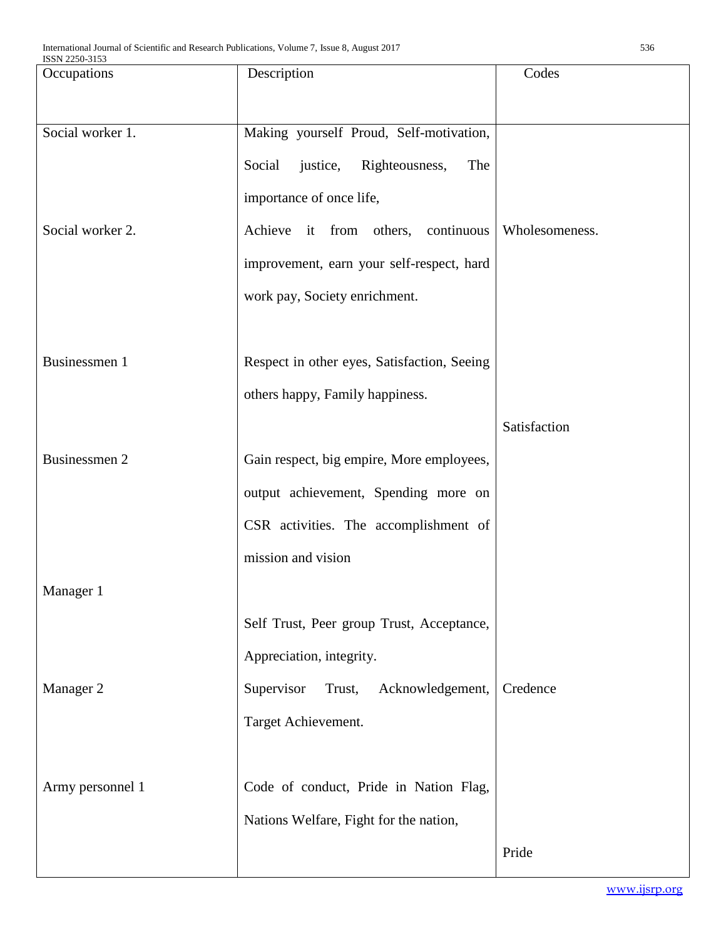| Occupations          | Description                                 | Codes          |
|----------------------|---------------------------------------------|----------------|
|                      |                                             |                |
|                      |                                             |                |
| Social worker 1.     | Making yourself Proud, Self-motivation,     |                |
|                      | Social<br>justice, Righteousness,<br>The    |                |
|                      | importance of once life,                    |                |
| Social worker 2.     | Achieve it from others, continuous          | Wholesomeness. |
|                      | improvement, earn your self-respect, hard   |                |
|                      | work pay, Society enrichment.               |                |
|                      |                                             |                |
| Businessmen 1        | Respect in other eyes, Satisfaction, Seeing |                |
|                      | others happy, Family happiness.             |                |
|                      |                                             | Satisfaction   |
| <b>Businessmen 2</b> | Gain respect, big empire, More employees,   |                |
|                      | output achievement, Spending more on        |                |
|                      | CSR activities. The accomplishment of       |                |
|                      | mission and vision                          |                |
| Manager 1            |                                             |                |
|                      | Self Trust, Peer group Trust, Acceptance,   |                |
|                      | Appreciation, integrity.                    |                |
| Manager 2            | Supervisor<br>Trust,<br>Acknowledgement,    | Credence       |
|                      | Target Achievement.                         |                |
|                      |                                             |                |
| Army personnel 1     | Code of conduct, Pride in Nation Flag,      |                |
|                      | Nations Welfare, Fight for the nation,      |                |
|                      |                                             | Pride          |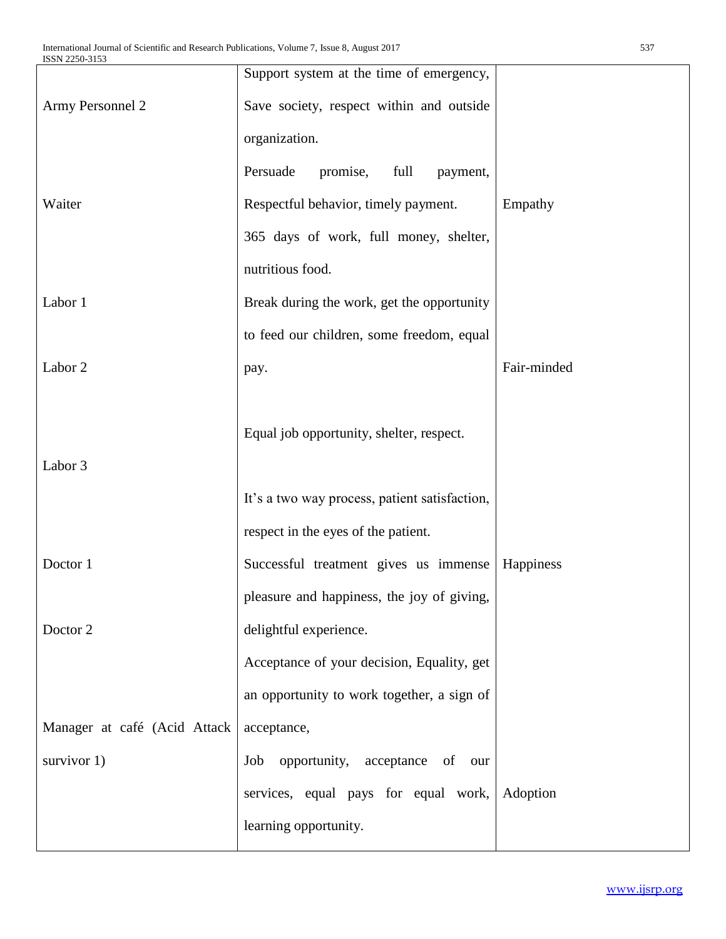|                              | Support system at the time of emergency,      |             |
|------------------------------|-----------------------------------------------|-------------|
| Army Personnel 2             | Save society, respect within and outside      |             |
|                              | organization.                                 |             |
|                              | Persuade<br>promise,<br>full<br>payment,      |             |
| Waiter                       | Respectful behavior, timely payment.          | Empathy     |
|                              | 365 days of work, full money, shelter,        |             |
|                              | nutritious food.                              |             |
| Labor 1                      | Break during the work, get the opportunity    |             |
|                              | to feed our children, some freedom, equal     |             |
| Labor 2                      | pay.                                          | Fair-minded |
|                              |                                               |             |
|                              | Equal job opportunity, shelter, respect.      |             |
| Labor 3                      |                                               |             |
|                              | It's a two way process, patient satisfaction, |             |
|                              | respect in the eyes of the patient.           |             |
| Doctor 1                     | Successful treatment gives us immense         | Happiness   |
|                              | pleasure and happiness, the joy of giving,    |             |
| Doctor 2                     | delightful experience.                        |             |
|                              | Acceptance of your decision, Equality, get    |             |
|                              | an opportunity to work together, a sign of    |             |
| Manager at café (Acid Attack | acceptance,                                   |             |
| survivor 1)                  | opportunity, acceptance of<br>Job<br>our      |             |
|                              | services, equal pays for equal work,          | Adoption    |
|                              | learning opportunity.                         |             |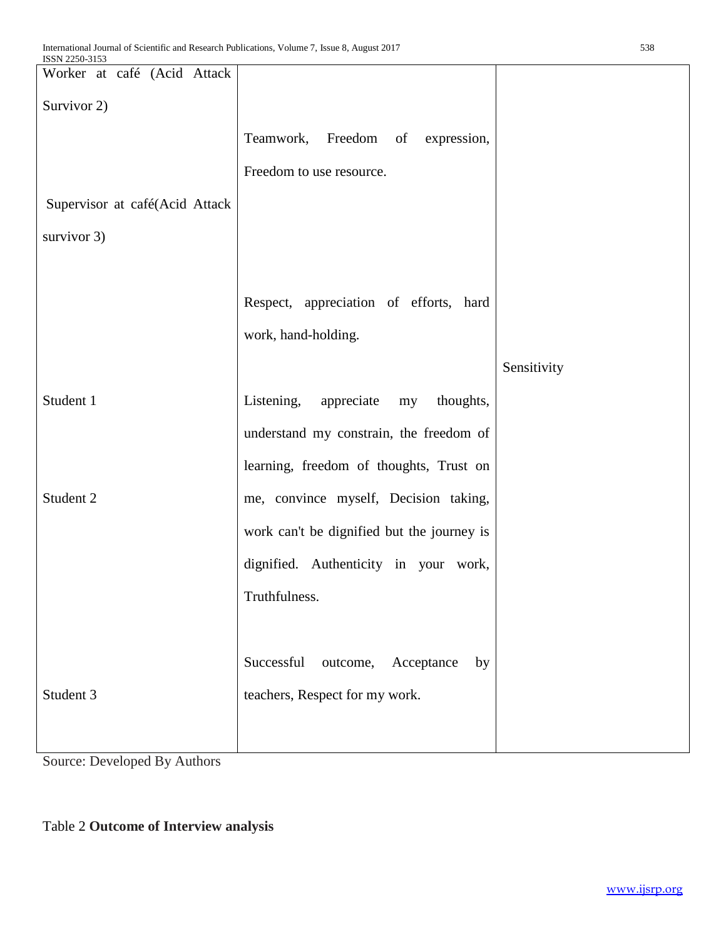| POTT STOCAL                    |  |                                             |             |
|--------------------------------|--|---------------------------------------------|-------------|
| Worker at café (Acid Attack    |  |                                             |             |
| Survivor 2)                    |  |                                             |             |
|                                |  | Teamwork, Freedom of expression,            |             |
|                                |  | Freedom to use resource.                    |             |
| Supervisor at café(Acid Attack |  |                                             |             |
| survivor 3)                    |  |                                             |             |
|                                |  |                                             |             |
|                                |  |                                             |             |
|                                |  | Respect, appreciation of efforts, hard      |             |
|                                |  | work, hand-holding.                         |             |
|                                |  |                                             | Sensitivity |
| Student 1                      |  | Listening,<br>appreciate<br>thoughts,<br>my |             |
|                                |  | understand my constrain, the freedom of     |             |
|                                |  | learning, freedom of thoughts, Trust on     |             |
| Student 2                      |  | me, convince myself, Decision taking,       |             |
|                                |  | work can't be dignified but the journey is  |             |
|                                |  | dignified. Authenticity in your work,       |             |
|                                |  | Truthfulness.                               |             |
|                                |  |                                             |             |
|                                |  | Successful<br>outcome, Acceptance<br>by     |             |
| Student 3                      |  | teachers, Respect for my work.              |             |
|                                |  |                                             |             |
|                                |  |                                             |             |

Source: Developed By Authors

## Table 2 **Outcome of Interview analysis**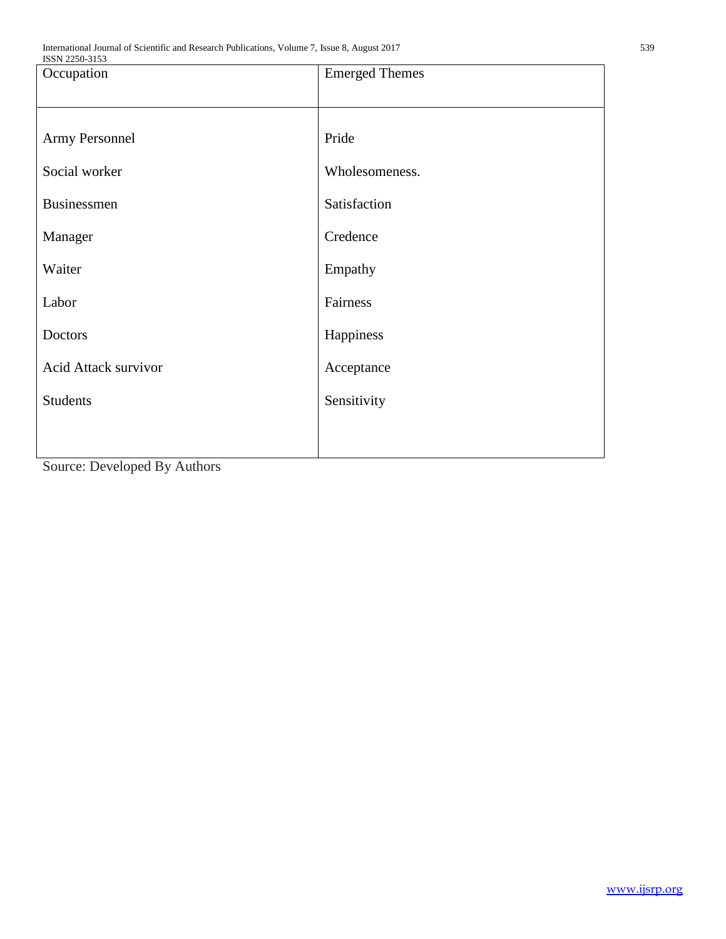| ISSN 2250-3153       |                       |  |  |  |
|----------------------|-----------------------|--|--|--|
| Occupation           | <b>Emerged Themes</b> |  |  |  |
| Army Personnel       | Pride                 |  |  |  |
| Social worker        | Wholesomeness.        |  |  |  |
| <b>Businessmen</b>   | Satisfaction          |  |  |  |
| Manager              | Credence              |  |  |  |
| Waiter               | Empathy               |  |  |  |
| Labor                | Fairness              |  |  |  |
| Doctors              | Happiness             |  |  |  |
| Acid Attack survivor | Acceptance            |  |  |  |
| <b>Students</b>      | Sensitivity           |  |  |  |
|                      |                       |  |  |  |

Source: Developed By Authors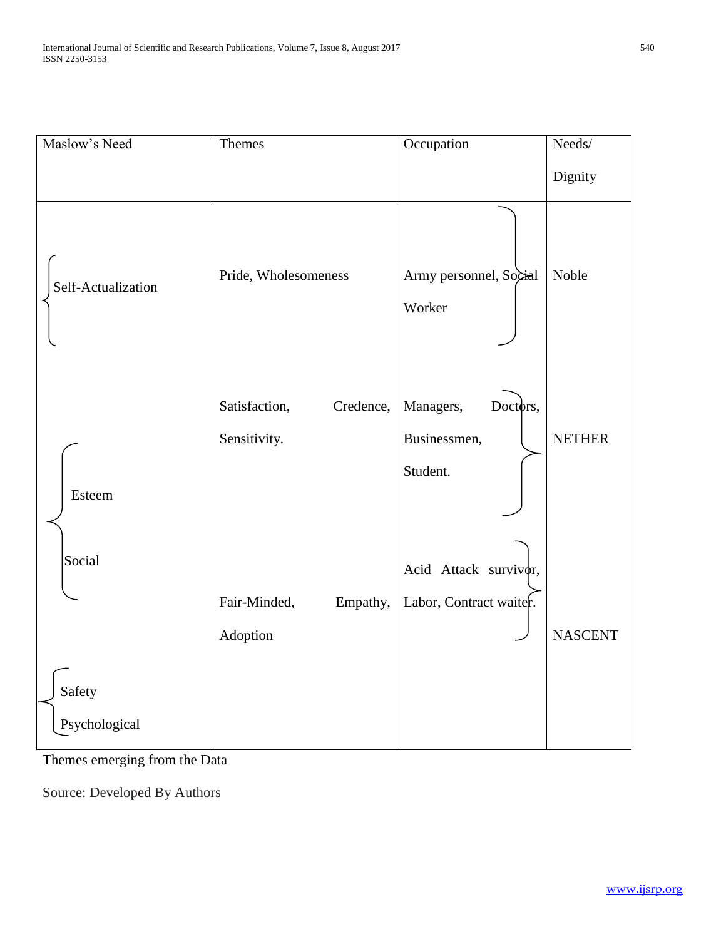| Maslow's Need                     | Themes                                     | Occupation                                        | $\boldsymbol{\mathrm{Needs}/}$ |
|-----------------------------------|--------------------------------------------|---------------------------------------------------|--------------------------------|
|                                   |                                            |                                                   | Dignity                        |
| Self-Actualization                | Pride, Wholesomeness                       | Army personnel, Social<br>Worker                  | Noble                          |
| Esteem                            | Satisfaction,<br>Credence,<br>Sensitivity. | Managers,<br>Doctors,<br>Businessmen,<br>Student. | <b>NETHER</b>                  |
| Social<br>Safety<br>Psychological | Fair-Minded,<br>Empathy,<br>Adoption       | Acid Attack survivor,<br>Labor, Contract waiter.  | <b>NASCENT</b>                 |

Themes emerging from the Data

Source: Developed By Authors